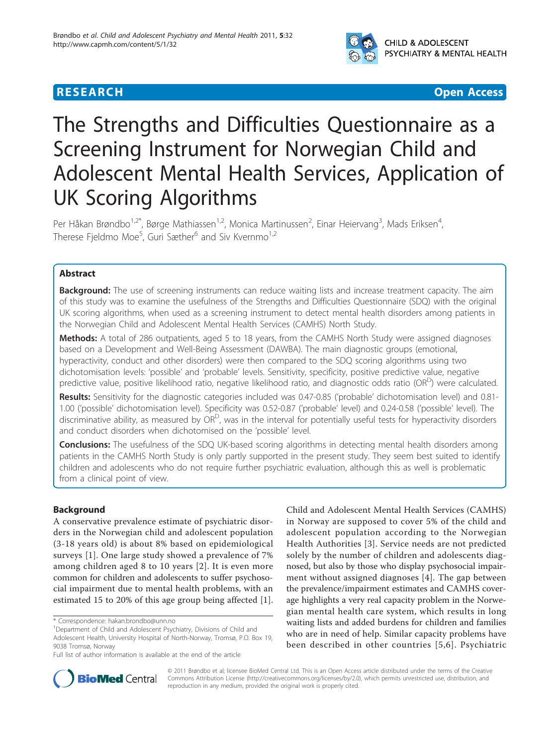

# **RESEARCH CONTROL** CONTROL CONTROL CONTROL CONTROL CONTROL CONTROL CONTROL CONTROL CONTROL CONTROL CONTROL CONTROL

# The Strengths and Difficulties Questionnaire as a Screening Instrument for Norwegian Child and Adolescent Mental Health Services, Application of UK Scoring Algorithms

Per Håkan Brøndbo<sup>1,2\*</sup>, Børge Mathiassen<sup>1,2</sup>, Monica Martinussen<sup>2</sup>, Einar Heiervang<sup>3</sup>, Mads Eriksen<sup>4</sup> , Therese Fjeldmo Moe<sup>5</sup>, Guri Sæther<sup>6</sup> and Siv Kvernmo<sup>1,2</sup>

# Abstract

Background: The use of screening instruments can reduce waiting lists and increase treatment capacity. The aim of this study was to examine the usefulness of the Strengths and Difficulties Questionnaire (SDQ) with the original UK scoring algorithms, when used as a screening instrument to detect mental health disorders among patients in the Norwegian Child and Adolescent Mental Health Services (CAMHS) North Study.

Methods: A total of 286 outpatients, aged 5 to 18 years, from the CAMHS North Study were assigned diagnoses based on a Development and Well-Being Assessment (DAWBA). The main diagnostic groups (emotional, hyperactivity, conduct and other disorders) were then compared to the SDQ scoring algorithms using two dichotomisation levels: 'possible' and 'probable' levels. Sensitivity, specificity, positive predictive value, negative predictive value, positive likelihood ratio, negative likelihood ratio, and diagnostic odds ratio (OR<sup>D</sup>) were calculated.

Results: Sensitivity for the diagnostic categories included was 0.47-0.85 ('probable' dichotomisation level) and 0.81-1.00 ('possible' dichotomisation level). Specificity was 0.52-0.87 ('probable' level) and 0.24-0.58 ('possible' level). The discriminative ability, as measured by OR<sup>D</sup>, was in the interval for potentially useful tests for hyperactivity disorders and conduct disorders when dichotomised on the 'possible' level.

**Conclusions:** The usefulness of the SDQ UK-based scoring algorithms in detecting mental health disorders among patients in the CAMHS North Study is only partly supported in the present study. They seem best suited to identify children and adolescents who do not require further psychiatric evaluation, although this as well is problematic from a clinical point of view.

# **Background**

A conservative prevalence estimate of psychiatric disorders in the Norwegian child and adolescent population (3-18 years old) is about 8% based on epidemiological surveys [[1](#page-8-0)]. One large study showed a prevalence of 7% among children aged 8 to 10 years [[2\]](#page-9-0). It is even more common for children and adolescents to suffer psychosocial impairment due to mental health problems, with an estimated 15 to 20% of this age group being affected [\[1](#page-8-0)].

Child and Adolescent Mental Health Services (CAMHS) in Norway are supposed to cover 5% of the child and adolescent population according to the Norwegian Health Authorities [[3](#page-9-0)]. Service needs are not predicted solely by the number of children and adolescents diagnosed, but also by those who display psychosocial impairment without assigned diagnoses [[4](#page-9-0)]. The gap between the prevalence/impairment estimates and CAMHS coverage highlights a very real capacity problem in the Norwegian mental health care system, which results in long waiting lists and added burdens for children and families who are in need of help. Similar capacity problems have been described in other countries [[5,6\]](#page-9-0). Psychiatric



© 2011 Brøndbo et al; licensee BioMed Central Ltd. This is an Open Access article distributed under the terms of the Creative Commons Attribution License [\(http://creativecommons.org/licenses/by/2.0](http://creativecommons.org/licenses/by/2.0)), which permits unrestricted use, distribution, and reproduction in any medium, provided the original work is properly cited.

<sup>\*</sup> Correspondence: [hakan.brondbo@unn.no](mailto:hakan.brondbo@unn.no)

<sup>&</sup>lt;sup>1</sup>Department of Child and Adolescent Psychiatry, Divisions of Child and Adolescent Health, University Hospital of North-Norway, Tromsø, P.O. Box 19, 9038 Tromsø, Norway

Full list of author information is available at the end of the article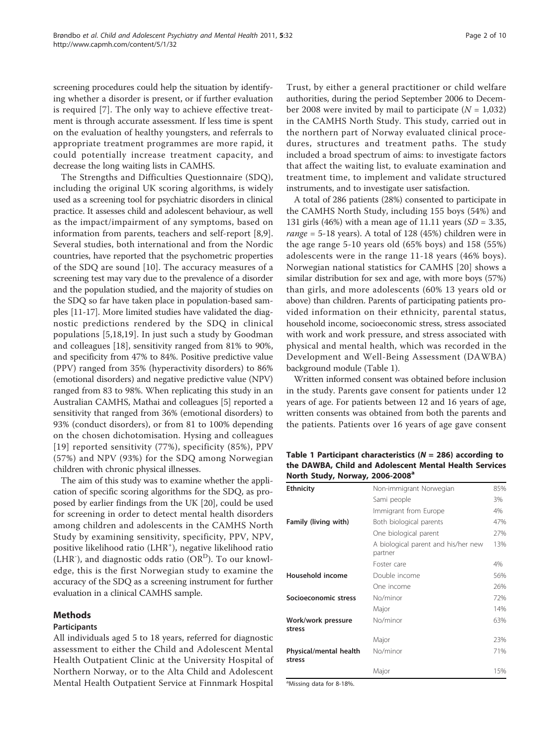screening procedures could help the situation by identifying whether a disorder is present, or if further evaluation is required [[7\]](#page-9-0). The only way to achieve effective treatment is through accurate assessment. If less time is spent on the evaluation of healthy youngsters, and referrals to appropriate treatment programmes are more rapid, it could potentially increase treatment capacity, and decrease the long waiting lists in CAMHS.

The Strengths and Difficulties Questionnaire (SDQ), including the original UK scoring algorithms, is widely used as a screening tool for psychiatric disorders in clinical practice. It assesses child and adolescent behaviour, as well as the impact/impairment of any symptoms, based on information from parents, teachers and self-report [[8,9](#page-9-0)]. Several studies, both international and from the Nordic countries, have reported that the psychometric properties of the SDQ are sound [\[10](#page-9-0)]. The accuracy measures of a screening test may vary due to the prevalence of a disorder and the population studied, and the majority of studies on the SDQ so far have taken place in population-based samples [\[11-17](#page-9-0)]. More limited studies have validated the diagnostic predictions rendered by the SDQ in clinical populations [\[5](#page-9-0),[18,19](#page-9-0)]. In just such a study by Goodman and colleagues [\[18](#page-9-0)], sensitivity ranged from 81% to 90%, and specificity from 47% to 84%. Positive predictive value (PPV) ranged from 35% (hyperactivity disorders) to 86% (emotional disorders) and negative predictive value (NPV) ranged from 83 to 98%. When replicating this study in an Australian CAMHS, Mathai and colleagues [[5\]](#page-9-0) reported a sensitivity that ranged from 36% (emotional disorders) to 93% (conduct disorders), or from 81 to 100% depending on the chosen dichotomisation. Hysing and colleagues [[19\]](#page-9-0) reported sensitivity (77%), specificity (85%), PPV (57%) and NPV (93%) for the SDQ among Norwegian children with chronic physical illnesses.

The aim of this study was to examine whether the application of specific scoring algorithms for the SDQ, as proposed by earlier findings from the UK [[20](#page-9-0)], could be used for screening in order to detect mental health disorders among children and adolescents in the CAMHS North Study by examining sensitivity, specificity, PPV, NPV, positive likelihood ratio (LHR<sup>+</sup>), negative likelihood ratio (LHR<sup>-</sup>), and diagnostic odds ratio (OR<sup>D</sup>). To our knowledge, this is the first Norwegian study to examine the accuracy of the SDQ as a screening instrument for further evaluation in a clinical CAMHS sample.

# Methods

# Participants

All individuals aged 5 to 18 years, referred for diagnostic assessment to either the Child and Adolescent Mental Health Outpatient Clinic at the University Hospital of Northern Norway, or to the Alta Child and Adolescent Mental Health Outpatient Service at Finnmark Hospital Trust, by either a general practitioner or child welfare authorities, during the period September 2006 to December 2008 were invited by mail to participate  $(N = 1,032)$ in the CAMHS North Study. This study, carried out in the northern part of Norway evaluated clinical procedures, structures and treatment paths. The study included a broad spectrum of aims: to investigate factors that affect the waiting list, to evaluate examination and treatment time, to implement and validate structured instruments, and to investigate user satisfaction.

A total of 286 patients (28%) consented to participate in the CAMHS North Study, including 155 boys (54%) and 131 girls (46%) with a mean age of 11.11 years ( $SD = 3.35$ , range =  $5-18$  years). A total of 128 (45%) children were in the age range 5-10 years old (65% boys) and 158 (55%) adolescents were in the range 11-18 years (46% boys). Norwegian national statistics for CAMHS [[20\]](#page-9-0) shows a similar distribution for sex and age, with more boys (57%) than girls, and more adolescents (60% 13 years old or above) than children. Parents of participating patients provided information on their ethnicity, parental status, household income, socioeconomic stress, stress associated with work and work pressure, and stress associated with physical and mental health, which was recorded in the Development and Well-Being Assessment (DAWBA) background module (Table 1).

Written informed consent was obtained before inclusion in the study. Parents gave consent for patients under 12 years of age. For patients between 12 and 16 years of age, written consents was obtained from both the parents and the patients. Patients over 16 years of age gave consent

Table 1 Participant characteristics ( $N = 286$ ) according to the DAWBA, Child and Adolescent Mental Health Services North Study, Norway, 2006-2008<sup>a</sup>

| <b>Ethnicity</b>                 | Non-immigrant Norwegian                        |     |  |  |
|----------------------------------|------------------------------------------------|-----|--|--|
|                                  | Sami people                                    | 3%  |  |  |
|                                  | Immigrant from Europe                          | 4%  |  |  |
| Family (living with)             | Both biological parents                        |     |  |  |
|                                  | One biological parent                          | 27% |  |  |
|                                  | A biological parent and his/her new<br>partner | 13% |  |  |
|                                  | Foster care                                    | 4%  |  |  |
| Household income                 | Double income                                  | 56% |  |  |
|                                  | One income                                     | 26% |  |  |
| Socioeconomic stress             | No/minor                                       | 72% |  |  |
|                                  | Major                                          | 14% |  |  |
| Work/work pressure<br>stress     | No/minor                                       | 63% |  |  |
|                                  | Major                                          | 23% |  |  |
| Physical/mental health<br>stress | No/minor                                       | 71% |  |  |
|                                  | Major                                          | 15% |  |  |

<sup>a</sup>Missing data for 8-18%.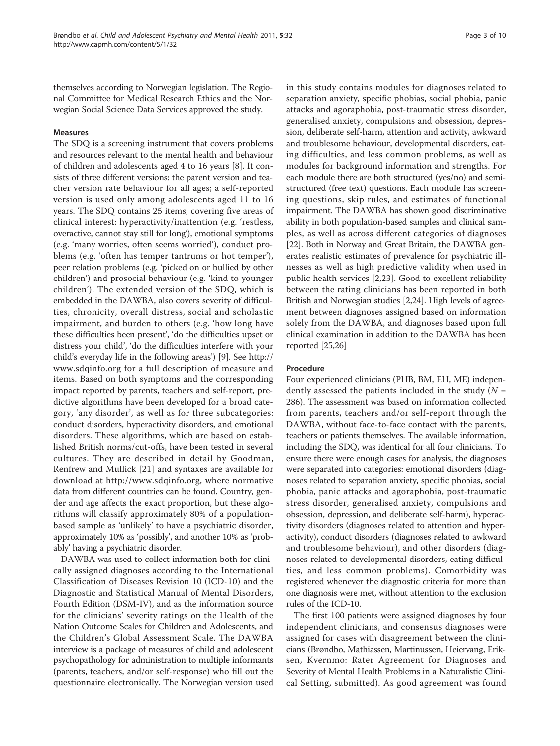themselves according to Norwegian legislation. The Regional Committee for Medical Research Ethics and the Norwegian Social Science Data Services approved the study.

#### Measures

The SDQ is a screening instrument that covers problems and resources relevant to the mental health and behaviour of children and adolescents aged 4 to 16 years [[8\]](#page-9-0). It consists of three different versions: the parent version and teacher version rate behaviour for all ages; a self-reported version is used only among adolescents aged 11 to 16 years. The SDQ contains 25 items, covering five areas of clinical interest: hyperactivity/inattention (e.g. 'restless, overactive, cannot stay still for long'), emotional symptoms (e.g. 'many worries, often seems worried'), conduct problems (e.g. 'often has temper tantrums or hot temper'), peer relation problems (e.g. 'picked on or bullied by other children') and prosocial behaviour (e.g. 'kind to younger children'). The extended version of the SDQ, which is embedded in the DAWBA, also covers severity of difficulties, chronicity, overall distress, social and scholastic impairment, and burden to others (e.g. 'how long have these difficulties been present', 'do the difficulties upset or distress your child', 'do the difficulties interfere with your child's everyday life in the following areas') [\[9](#page-9-0)]. See [http://](http://www.sdqinfo.org) [www.sdqinfo.org](http://www.sdqinfo.org) for a full description of measure and items. Based on both symptoms and the corresponding impact reported by parents, teachers and self-report, predictive algorithms have been developed for a broad category, 'any disorder', as well as for three subcategories: conduct disorders, hyperactivity disorders, and emotional disorders. These algorithms, which are based on established British norms/cut-offs, have been tested in several cultures. They are described in detail by Goodman, Renfrew and Mullick [[21](#page-9-0)] and syntaxes are available for download at [http://www.sdqinfo.org,](http://www.sdqinfo.org) where normative data from different countries can be found. Country, gender and age affects the exact proportion, but these algorithms will classify approximately 80% of a populationbased sample as 'unlikely' to have a psychiatric disorder, approximately 10% as 'possibly', and another 10% as 'probably' having a psychiatric disorder.

DAWBA was used to collect information both for clinically assigned diagnoses according to the International Classification of Diseases Revision 10 (ICD-10) and the Diagnostic and Statistical Manual of Mental Disorders, Fourth Edition (DSM-IV), and as the information source for the clinicians' severity ratings on the Health of the Nation Outcome Scales for Children and Adolescents, and the Children's Global Assessment Scale. The DAWBA interview is a package of measures of child and adolescent psychopathology for administration to multiple informants (parents, teachers, and/or self-response) who fill out the questionnaire electronically. The Norwegian version used in this study contains modules for diagnoses related to separation anxiety, specific phobias, social phobia, panic attacks and agoraphobia, post-traumatic stress disorder, generalised anxiety, compulsions and obsession, depression, deliberate self-harm, attention and activity, awkward and troublesome behaviour, developmental disorders, eating difficulties, and less common problems, as well as modules for background information and strengths. For each module there are both structured (yes/no) and semistructured (free text) questions. Each module has screening questions, skip rules, and estimates of functional impairment. The DAWBA has shown good discriminative ability in both population-based samples and clinical samples, as well as across different categories of diagnoses [[22](#page-9-0)]. Both in Norway and Great Britain, the DAWBA generates realistic estimates of prevalence for psychiatric illnesses as well as high predictive validity when used in public health services [[2,23\]](#page-9-0). Good to excellent reliability between the rating clinicians has been reported in both British and Norwegian studies [[2](#page-9-0),[24](#page-9-0)]. High levels of agreement between diagnoses assigned based on information solely from the DAWBA, and diagnoses based upon full clinical examination in addition to the DAWBA has been reported [\[25,26\]](#page-9-0)

#### Procedure

Four experienced clinicians (PHB, BM, EH, ME) independently assessed the patients included in the study ( $N =$ 286). The assessment was based on information collected from parents, teachers and/or self-report through the DAWBA, without face-to-face contact with the parents, teachers or patients themselves. The available information, including the SDQ, was identical for all four clinicians. To ensure there were enough cases for analysis, the diagnoses were separated into categories: emotional disorders (diagnoses related to separation anxiety, specific phobias, social phobia, panic attacks and agoraphobia, post-traumatic stress disorder, generalised anxiety, compulsions and obsession, depression, and deliberate self-harm), hyperactivity disorders (diagnoses related to attention and hyperactivity), conduct disorders (diagnoses related to awkward and troublesome behaviour), and other disorders (diagnoses related to developmental disorders, eating difficulties, and less common problems). Comorbidity was registered whenever the diagnostic criteria for more than one diagnosis were met, without attention to the exclusion rules of the ICD-10.

The first 100 patients were assigned diagnoses by four independent clinicians, and consensus diagnoses were assigned for cases with disagreement between the clinicians (Brøndbo, Mathiassen, Martinussen, Heiervang, Eriksen, Kvernmo: Rater Agreement for Diagnoses and Severity of Mental Health Problems in a Naturalistic Clinical Setting, submitted). As good agreement was found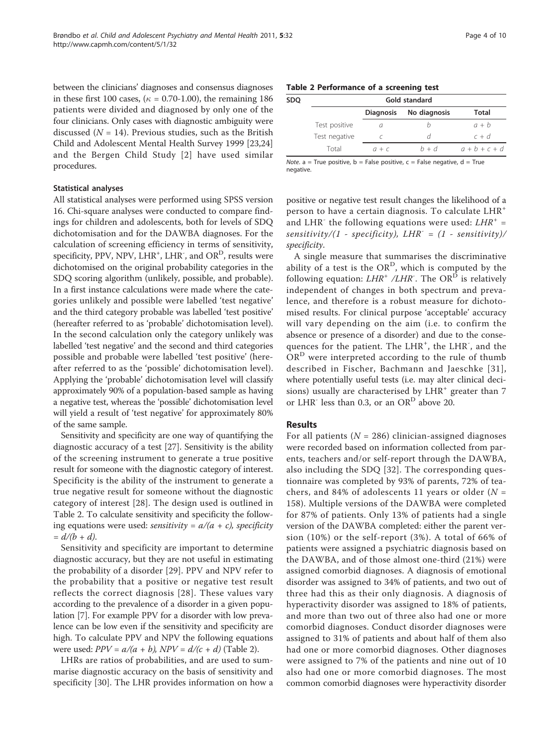between the clinicians' diagnoses and consensus diagnoses in these first 100 cases, ( $\kappa = 0.70$ -1.00), the remaining 186 patients were divided and diagnosed by only one of the four clinicians. Only cases with diagnostic ambiguity were discussed ( $N = 14$ ). Previous studies, such as the British Child and Adolescent Mental Health Survey 1999 [[23](#page-9-0),[24](#page-9-0)] and the Bergen Child Study [[2](#page-9-0)] have used similar procedures.

# Statistical analyses

All statistical analyses were performed using SPSS version 16. Chi-square analyses were conducted to compare findings for children and adolescents, both for levels of SDQ dichotomisation and for the DAWBA diagnoses. For the calculation of screening efficiency in terms of sensitivity, specificity, PPV, NPV, LHR<sup>+</sup>, LHR<sup>-</sup>, and OR<sup>D</sup>, results were dichotomised on the original probability categories in the SDQ scoring algorithm (unlikely, possible, and probable). In a first instance calculations were made where the categories unlikely and possible were labelled 'test negative' and the third category probable was labelled 'test positive' (hereafter referred to as 'probable' dichotomisation level). In the second calculation only the category unlikely was labelled 'test negative' and the second and third categories possible and probable were labelled 'test positive' (hereafter referred to as the 'possible' dichotomisation level). Applying the 'probable' dichotomisation level will classify approximately 90% of a population-based sample as having a negative test, whereas the 'possible' dichotomisation level will yield a result of 'test negative' for approximately 80% of the same sample.

Sensitivity and specificity are one way of quantifying the diagnostic accuracy of a test [\[27\]](#page-9-0). Sensitivity is the ability of the screening instrument to generate a true positive result for someone with the diagnostic category of interest. Specificity is the ability of the instrument to generate a true negative result for someone without the diagnostic category of interest [\[28](#page-9-0)]. The design used is outlined in Table 2. To calculate sensitivity and specificity the following equations were used: *sensitivity* =  $a/(a + c)$ , *specificity*  $= d/(b + d)$ .

Sensitivity and specificity are important to determine diagnostic accuracy, but they are not useful in estimating the probability of a disorder [\[29](#page-9-0)]. PPV and NPV refer to the probability that a positive or negative test result reflects the correct diagnosis [[28\]](#page-9-0). These values vary according to the prevalence of a disorder in a given population [\[7](#page-9-0)]. For example PPV for a disorder with low prevalence can be low even if the sensitivity and specificity are high. To calculate PPV and NPV the following equations were used:  $PPV = a/(a + b)$ ,  $NPV = d/(c + d)$  (Table 2).

LHRs are ratios of probabilities, and are used to summarise diagnostic accuracy on the basis of sensitivity and specificity [[30](#page-9-0)]. The LHR provides information on how a

Table 2 Performance of a screening test

| SDQ |               | Gold standard    |              |           |  |  |  |  |
|-----|---------------|------------------|--------------|-----------|--|--|--|--|
|     |               | <b>Diagnosis</b> | No diagnosis | Total     |  |  |  |  |
|     | Test positive |                  |              | $a + b$   |  |  |  |  |
|     | Test negative |                  | а            | $c + d$   |  |  |  |  |
|     | Total         | $a + c$          | $h + d$      | $a+b+c+d$ |  |  |  |  |

Note.  $a$  = True positive,  $b$  = False positive,  $c$  = False negative,  $d$  = True negative.

positive or negative test result changes the likelihood of a person to have a certain diagnosis. To calculate LHR<sup>+</sup> and LHR<sup>-</sup> the following equations were used:  $LHR^+$  = sensitivity/(1 - specificity), LHR<sup>-</sup> =  $(1 -$  sensitivity)/ specificity.

A single measure that summarises the discriminative ability of a test is the  $OR^D$ , which is computed by the following equation:  $LHR^+$  / $LHR^-$ . The OR<sup>D</sup> is relatively independent of changes in both spectrum and prevalence, and therefore is a robust measure for dichotomised results. For clinical purpose 'acceptable' accuracy will vary depending on the aim (i.e. to confirm the absence or presence of a disorder) and due to the consequences for the patient. The LHR<sup>+</sup>, the LHR<sup>-</sup>, and the  $OR<sup>D</sup>$  were interpreted according to the rule of thumb described in Fischer, Bachmann and Jaeschke [[31\]](#page-9-0), where potentially useful tests (i.e. may alter clinical decisions) usually are characterised by  $LHR<sup>+</sup>$  greater than 7 or LHR<sup>-</sup> less than 0.3, or an OR<sup>D</sup> above 20.

# Results

For all patients ( $N = 286$ ) clinician-assigned diagnoses were recorded based on information collected from parents, teachers and/or self-report through the DAWBA, also including the SDQ [\[32\]](#page-9-0). The corresponding questionnaire was completed by 93% of parents, 72% of teachers, and 84% of adolescents 11 years or older ( $N =$ 158). Multiple versions of the DAWBA were completed for 87% of patients. Only 13% of patients had a single version of the DAWBA completed: either the parent version (10%) or the self-report (3%). A total of 66% of patients were assigned a psychiatric diagnosis based on the DAWBA, and of those almost one-third (21%) were assigned comorbid diagnoses. A diagnosis of emotional disorder was assigned to 34% of patients, and two out of three had this as their only diagnosis. A diagnosis of hyperactivity disorder was assigned to 18% of patients, and more than two out of three also had one or more comorbid diagnoses. Conduct disorder diagnoses were assigned to 31% of patients and about half of them also had one or more comorbid diagnoses. Other diagnoses were assigned to 7% of the patients and nine out of 10 also had one or more comorbid diagnoses. The most common comorbid diagnoses were hyperactivity disorder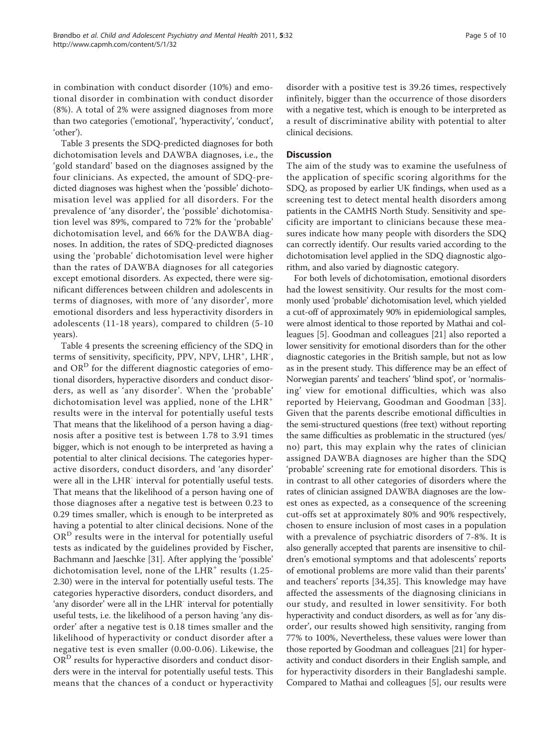in combination with conduct disorder (10%) and emotional disorder in combination with conduct disorder (8%). A total of 2% were assigned diagnoses from more than two categories ('emotional', 'hyperactivity', 'conduct', 'other').

Table [3](#page-5-0) presents the SDQ-predicted diagnoses for both dichotomisation levels and DAWBA diagnoses, i.e., the 'gold standard' based on the diagnoses assigned by the four clinicians. As expected, the amount of SDQ-predicted diagnoses was highest when the 'possible' dichotomisation level was applied for all disorders. For the prevalence of 'any disorder', the 'possible' dichotomisation level was 89%, compared to 72% for the 'probable' dichotomisation level, and 66% for the DAWBA diagnoses. In addition, the rates of SDQ-predicted diagnoses using the 'probable' dichotomisation level were higher than the rates of DAWBA diagnoses for all categories except emotional disorders. As expected, there were significant differences between children and adolescents in terms of diagnoses, with more of 'any disorder', more emotional disorders and less hyperactivity disorders in adolescents (11-18 years), compared to children (5-10 years).

Table [4](#page-6-0) presents the screening efficiency of the SDQ in terms of sensitivity, specificity, PPV, NPV, LHR<sup>+</sup>, LHR<sup>-</sup>, and  $OR^D$  for the different diagnostic categories of emotional disorders, hyperactive disorders and conduct disorders, as well as 'any disorder'. When the 'probable' dichotomisation level was applied, none of the LHR<sup>+</sup> results were in the interval for potentially useful tests That means that the likelihood of a person having a diagnosis after a positive test is between 1.78 to 3.91 times bigger, which is not enough to be interpreted as having a potential to alter clinical decisions. The categories hyperactive disorders, conduct disorders, and 'any disorder' were all in the LHR<sup>-</sup> interval for potentially useful tests. That means that the likelihood of a person having one of those diagnoses after a negative test is between 0.23 to 0.29 times smaller, which is enough to be interpreted as having a potential to alter clinical decisions. None of the  $OR<sup>D</sup>$  results were in the interval for potentially useful tests as indicated by the guidelines provided by Fischer, Bachmann and Jaeschke [\[31](#page-9-0)]. After applying the 'possible' dichotomisation level, none of the LHR<sup>+</sup> results (1.25-2.30) were in the interval for potentially useful tests. The categories hyperactive disorders, conduct disorders, and 'any disorder' were all in the LHR<sup>-</sup> interval for potentially useful tests, i.e. the likelihood of a person having 'any disorder' after a negative test is 0.18 times smaller and the likelihood of hyperactivity or conduct disorder after a negative test is even smaller (0.00-0.06). Likewise, the  $OR<sup>D</sup>$  results for hyperactive disorders and conduct disorders were in the interval for potentially useful tests. This means that the chances of a conduct or hyperactivity disorder with a positive test is 39.26 times, respectively infinitely, bigger than the occurrence of those disorders with a negative test, which is enough to be interpreted as a result of discriminative ability with potential to alter clinical decisions.

# **Discussion**

The aim of the study was to examine the usefulness of the application of specific scoring algorithms for the SDQ, as proposed by earlier UK findings, when used as a screening test to detect mental health disorders among patients in the CAMHS North Study. Sensitivity and specificity are important to clinicians because these measures indicate how many people with disorders the SDQ can correctly identify. Our results varied according to the dichotomisation level applied in the SDQ diagnostic algorithm, and also varied by diagnostic category.

For both levels of dichotomisation, emotional disorders had the lowest sensitivity. Our results for the most commonly used 'probable' dichotomisation level, which yielded a cut-off of approximately 90% in epidemiological samples, were almost identical to those reported by Mathai and colleagues [\[5](#page-9-0)]. Goodman and colleagues [\[21\]](#page-9-0) also reported a lower sensitivity for emotional disorders than for the other diagnostic categories in the British sample, but not as low as in the present study. This difference may be an effect of Norwegian parents' and teachers' 'blind spot', or 'normalising' view for emotional difficulties, which was also reported by Heiervang, Goodman and Goodman [[33\]](#page-9-0). Given that the parents describe emotional difficulties in the semi-structured questions (free text) without reporting the same difficulties as problematic in the structured (yes/ no) part, this may explain why the rates of clinician assigned DAWBA diagnoses are higher than the SDQ 'probable' screening rate for emotional disorders. This is in contrast to all other categories of disorders where the rates of clinician assigned DAWBA diagnoses are the lowest ones as expected, as a consequence of the screening cut-offs set at approximately 80% and 90% respectively, chosen to ensure inclusion of most cases in a population with a prevalence of psychiatric disorders of 7-8%. It is also generally accepted that parents are insensitive to children's emotional symptoms and that adolescents' reports of emotional problems are more valid than their parents' and teachers' reports [[34,35](#page-9-0)]. This knowledge may have affected the assessments of the diagnosing clinicians in our study, and resulted in lower sensitivity. For both hyperactivity and conduct disorders, as well as for 'any disorder', our results showed high sensitivity, ranging from 77% to 100%, Nevertheless, these values were lower than those reported by Goodman and colleagues [\[21\]](#page-9-0) for hyperactivity and conduct disorders in their English sample, and for hyperactivity disorders in their Bangladeshi sample. Compared to Mathai and colleagues [\[5](#page-9-0)], our results were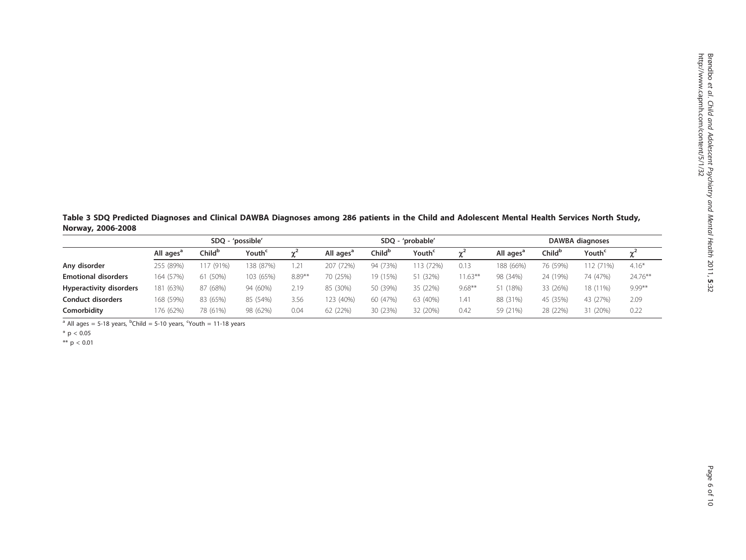<span id="page-5-0"></span>Table 3 SDQ Predicted Diagnoses and Clinical DAWBA Diagnoses among 286 patients in the Child and Adolescent Mental Health Services North Study, Norway, 2006-2008

|                                | SDQ - 'possible'      |                    |                    | SDQ - 'probable' |                       |                    |                    | DAWBA diagnoses   |                       |                    |                    |           |
|--------------------------------|-----------------------|--------------------|--------------------|------------------|-----------------------|--------------------|--------------------|-------------------|-----------------------|--------------------|--------------------|-----------|
|                                | All ages <sup>a</sup> | Child <sup>b</sup> | Youth <sup>c</sup> | $\sim$           | All ages <sup>a</sup> | Child <sup>b</sup> | Youth <sup>c</sup> | $\sim$            | All ages <sup>a</sup> | Child <sup>b</sup> | Youth <sup>c</sup> |           |
| Any disorder                   | 255 (89%)             | 17 (91%)           | 138 (87%)          | 1.21             | 207 (72%)             | 94 (73%)           | 113 (72%)          | 0.13              | 188 (66%)             | 76 (59%)           | 112 (71%)          | $4.16*$   |
| <b>Emotional disorders</b>     | 164 (57%)             | (50%)<br>61        | 103 (65%)          | $8.89***$        | 70 (25%)              | 19 (15%)           | 51 (32%)           | $11.63***$        | 98 (34%)              | 24 (19%)           | 74 (47%)           | 24.76**   |
| <b>Hyperactivity disorders</b> | 181 (63%)             | 87 (68%)           | 94 (60%)           | 2.19             | 85 (30%)              | 50 (39%)           | 35 (22%)           | $9.68***$         | 51 (18%)              | 33 (26%)           | 18 (11%)           | $9.99***$ |
| Conduct disorders              | 168 (59%)             | 83 (65%)           | 85 (54%)           | 3.56             | 123 (40%)             | 60 (47%)           | 63 (40%)           | $\overline{1.41}$ | 88 (31%)              | 45 (35%)           | 43 (27%)           | 2.09      |
| Comorbidity                    | 176 (62%)             | 78 (61%)           | 98 (62%)           | 0.04             | 62 (22%)              | 30 (23%)           | 32 (20%)           | 0.42              | 59 (21%)              | 28 (22%)           | 31 (20%)           | 0.22      |

<sup>a</sup> All ages = 5-18 years, <sup>b</sup>Child = 5-10 years, <sup>c</sup>Youth = 11-18 years

 $*$  p  $< 0.05$ 

\*\* p <sup>&</sup>lt; 0.01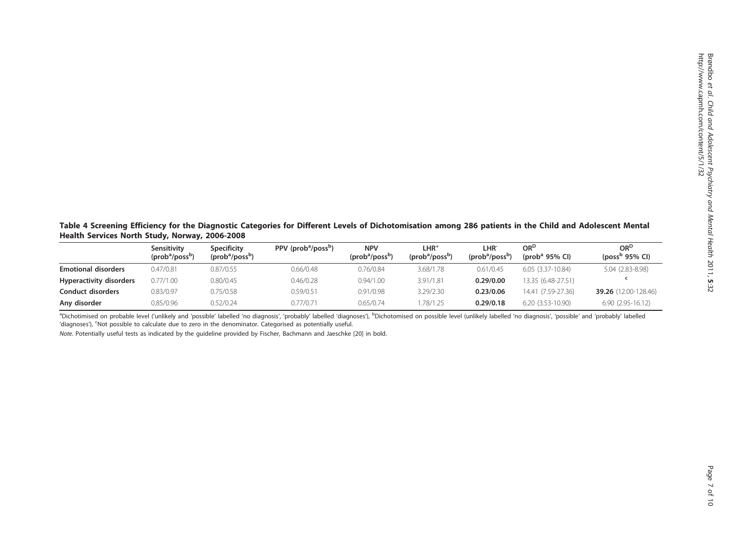<span id="page-6-0"></span>Table <sup>4</sup> Screening Efficiency for the Diagnostic Categories for Different Levels of Dichotomisation among 286 patients in the Child and Adolescent Mental Health Services North Study, Norway, 2006-2008

|                            | Sensitivity<br>(prob <sup>a</sup> /poss <sup>b</sup> ) | Specificity<br>(prob <sup>a</sup> /poss <sup>b</sup> ) | PPV (prob <sup>a</sup> /poss <sup>b</sup> ) | <b>NPV</b><br>(prob <sup>a</sup> /poss <sup>b</sup> ) | $LHR+$<br>(prob <sup>a</sup> /poss <sup>b</sup> ) | LHR<br>(prob <sup>a</sup> /poss <sup>b)</sup> | OR <sup>D</sup><br>prod <sup>a</sup> 95% Cl | OR <sup>D</sup><br>(poss <sup>b</sup> 95% Cl) |
|----------------------------|--------------------------------------------------------|--------------------------------------------------------|---------------------------------------------|-------------------------------------------------------|---------------------------------------------------|-----------------------------------------------|---------------------------------------------|-----------------------------------------------|
| <b>Emotional disorders</b> | 0.47/0.81                                              | 0.87/0.55                                              | 0.66/0.48                                   | 0.76/0.84                                             | 3.68/1.78                                         | 0.61/0.45                                     | $6.05(3.37-10.84)$                          | 5.04 (2.83-8.98)                              |
| Hyperactivity disorders    | 0.77/1.00                                              | 0.80/0.45                                              | 0.46/0.28                                   | 0.94/1.00                                             | 3.91/1.81                                         | 0.29/0.00                                     | 13.35 (6.48-27.51)                          |                                               |
| <b>Conduct disorders</b>   | 0.83/0.97                                              | 0.75/0.58                                              | 0.59/0.51                                   | 0.91/0.98                                             | 3.29/2.30                                         | 0.23/0.06                                     | 14.41 (7.59-27.36)                          | <b>39.26</b> (12.00-128.46)                   |
| Any disorder               | 0.85/0.96                                              | 0.52/0.24                                              | 0.77/0.71                                   | 0.65/0.74                                             | 1.78/1.25                                         | 0.29/0.18                                     | $6.20(3.53-10.90)$                          | $6.90(2.95-16.12)$                            |

<sup>a</sup>Dichotimised on probable level ('unlikely and 'possible' labelled 'no diagnosis', 'probably' labelled 'diagnoses'), <sup>b</sup>Dichotomised on possible level (unlikely labelled 'no diagnosis', 'possible' and 'probably' labelled 'diagnoses'), 'Not possible to calculate due to zero in the denominator. Categorised as potentially useful.

Note. Potentially useful tests as indicated by the guideline provided by Fischer, Bachmann and Jaeschke [[20](#page-9-0)] in bold.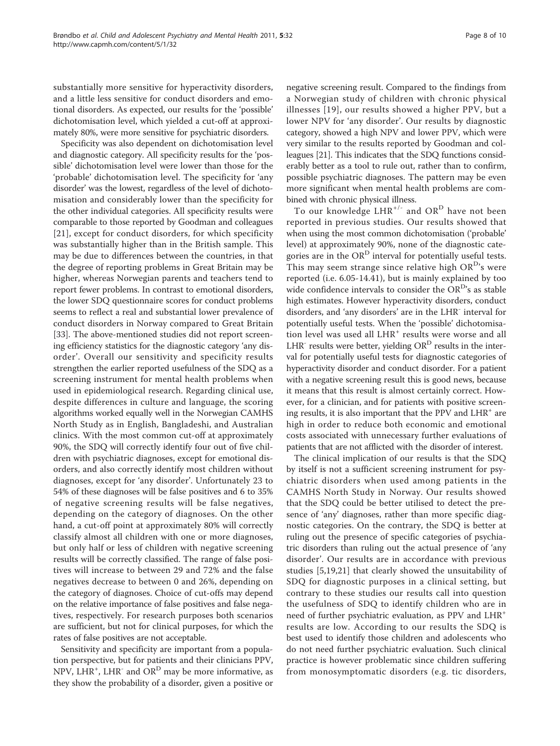Page 8 of 10

substantially more sensitive for hyperactivity disorders, and a little less sensitive for conduct disorders and emotional disorders. As expected, our results for the 'possible' dichotomisation level, which yielded a cut-off at approximately 80%, were more sensitive for psychiatric disorders.

Specificity was also dependent on dichotomisation level and diagnostic category. All specificity results for the 'possible' dichotomisation level were lower than those for the 'probable' dichotomisation level. The specificity for 'any disorder' was the lowest, regardless of the level of dichotomisation and considerably lower than the specificity for the other individual categories. All specificity results were comparable to those reported by Goodman and colleagues [[21](#page-9-0)], except for conduct disorders, for which specificity was substantially higher than in the British sample. This may be due to differences between the countries, in that the degree of reporting problems in Great Britain may be higher, whereas Norwegian parents and teachers tend to report fewer problems. In contrast to emotional disorders, the lower SDQ questionnaire scores for conduct problems seems to reflect a real and substantial lower prevalence of conduct disorders in Norway compared to Great Britain [[33\]](#page-9-0). The above-mentioned studies did not report screening efficiency statistics for the diagnostic category 'any disorder'. Overall our sensitivity and specificity results strengthen the earlier reported usefulness of the SDQ as a screening instrument for mental health problems when used in epidemiological research. Regarding clinical use, despite differences in culture and language, the scoring algorithms worked equally well in the Norwegian CAMHS North Study as in English, Bangladeshi, and Australian clinics. With the most common cut-off at approximately 90%, the SDQ will correctly identify four out of five children with psychiatric diagnoses, except for emotional disorders, and also correctly identify most children without diagnoses, except for 'any disorder'. Unfortunately 23 to 54% of these diagnoses will be false positives and 6 to 35% of negative screening results will be false negatives, depending on the category of diagnoses. On the other hand, a cut-off point at approximately 80% will correctly classify almost all children with one or more diagnoses, but only half or less of children with negative screening results will be correctly classified. The range of false positives will increase to between 29 and 72% and the false negatives decrease to between 0 and 26%, depending on the category of diagnoses. Choice of cut-offs may depend on the relative importance of false positives and false negatives, respectively. For research purposes both scenarios are sufficient, but not for clinical purposes, for which the rates of false positives are not acceptable.

Sensitivity and specificity are important from a population perspective, but for patients and their clinicians PPV, NPV, LHR<sup>+</sup>, LHR<sup>-</sup> and OR<sup>D</sup> may be more informative, as they show the probability of a disorder, given a positive or negative screening result. Compared to the findings from a Norwegian study of children with chronic physical illnesses [\[19\]](#page-9-0), our results showed a higher PPV, but a lower NPV for 'any disorder'. Our results by diagnostic category, showed a high NPV and lower PPV, which were very similar to the results reported by Goodman and colleagues [\[21\]](#page-9-0). This indicates that the SDQ functions considerably better as a tool to rule out, rather than to confirm, possible psychiatric diagnoses. The pattern may be even more significant when mental health problems are combined with chronic physical illness.

To our knowledge  $LHR^{+/}$  and  $OR^D$  have not been reported in previous studies. Our results showed that when using the most common dichotomisation ('probable' level) at approximately 90%, none of the diagnostic categories are in the  $OR<sup>D</sup>$  interval for potentially useful tests. This may seem strange since relative high  $OR^{D}$ 's were reported (i.e. 6.05-14.41), but is mainly explained by too wide confidence intervals to consider the  $OR<sup>D</sup>$ 's as stable high estimates. However hyperactivity disorders, conduct disorders, and 'any disorders' are in the LHR<sup>-</sup> interval for potentially useful tests. When the 'possible' dichotomisation level was used all LHR<sup>+</sup> results were worse and all LHR<sup>-</sup> results were better, yielding  $OR<sup>D</sup>$  results in the interval for potentially useful tests for diagnostic categories of hyperactivity disorder and conduct disorder. For a patient with a negative screening result this is good news, because it means that this result is almost certainly correct. However, for a clinician, and for patients with positive screening results, it is also important that the PPV and  $LHR^+$  are high in order to reduce both economic and emotional costs associated with unnecessary further evaluations of patients that are not afflicted with the disorder of interest.

The clinical implication of our results is that the SDQ by itself is not a sufficient screening instrument for psychiatric disorders when used among patients in the CAMHS North Study in Norway. Our results showed that the SDQ could be better utilised to detect the presence of 'any' diagnoses, rather than more specific diagnostic categories. On the contrary, the SDQ is better at ruling out the presence of specific categories of psychiatric disorders than ruling out the actual presence of 'any disorder'. Our results are in accordance with previous studies [[5,19,21](#page-9-0)] that clearly showed the unsuitability of SDQ for diagnostic purposes in a clinical setting, but contrary to these studies our results call into question the usefulness of SDQ to identify children who are in need of further psychiatric evaluation, as PPV and LHR<sup>+</sup> results are low. According to our results the SDQ is best used to identify those children and adolescents who do not need further psychiatric evaluation. Such clinical practice is however problematic since children suffering from monosymptomatic disorders (e.g. tic disorders,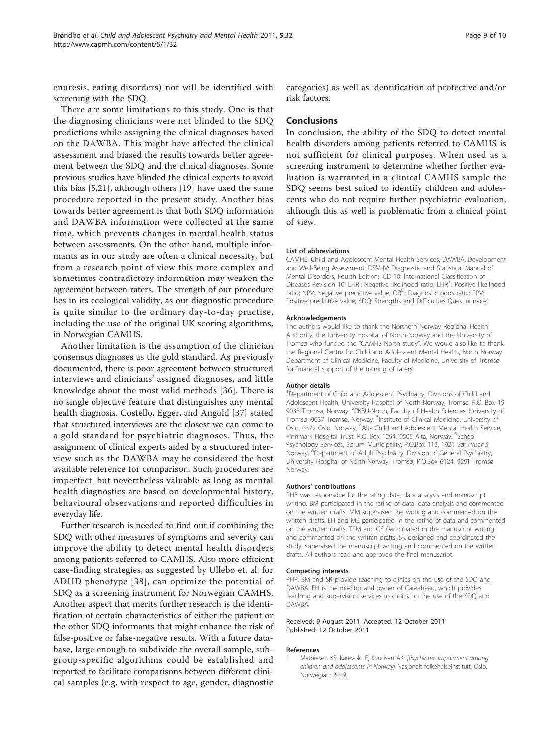Page 9 of 10

<span id="page-8-0"></span>enuresis, eating disorders) not will be identified with screening with the SDQ.

There are some limitations to this study. One is that the diagnosing clinicians were not blinded to the SDQ predictions while assigning the clinical diagnoses based on the DAWBA. This might have affected the clinical assessment and biased the results towards better agreement between the SDQ and the clinical diagnoses. Some previous studies have blinded the clinical experts to avoid this bias [[5,21](#page-9-0)], although others [[19\]](#page-9-0) have used the same procedure reported in the present study. Another bias towards better agreement is that both SDQ information and DAWBA information were collected at the same time, which prevents changes in mental health status between assessments. On the other hand, multiple informants as in our study are often a clinical necessity, but from a research point of view this more complex and sometimes contradictory information may weaken the agreement between raters. The strength of our procedure lies in its ecological validity, as our diagnostic procedure is quite similar to the ordinary day-to-day practise, including the use of the original UK scoring algorithms, in Norwegian CAMHS.

Another limitation is the assumption of the clinician consensus diagnoses as the gold standard. As previously documented, there is poor agreement between structured interviews and clinicians' assigned diagnoses, and little knowledge about the most valid methods [\[36](#page-9-0)]. There is no single objective feature that distinguishes any mental health diagnosis. Costello, Egger, and Angold [[37\]](#page-9-0) stated that structured interviews are the closest we can come to a gold standard for psychiatric diagnoses. Thus, the assignment of clinical experts aided by a structured interview such as the DAWBA may be considered the best available reference for comparison. Such procedures are imperfect, but nevertheless valuable as long as mental health diagnostics are based on developmental history, behavioural observations and reported difficulties in everyday life.

Further research is needed to find out if combining the SDQ with other measures of symptoms and severity can improve the ability to detect mental health disorders among patients referred to CAMHS. Also more efficient case-finding strategies, as suggested by Ullebø et. al. for ADHD phenotype [[38](#page-9-0)], can optimize the potential of SDQ as a screening instrument for Norwegian CAMHS. Another aspect that merits further research is the identification of certain characteristics of either the patient or the other SDQ informants that might enhance the risk of false-positive or false-negative results. With a future database, large enough to subdivide the overall sample, subgroup-specific algorithms could be established and reported to facilitate comparisons between different clinical samples (e.g. with respect to age, gender, diagnostic

categories) as well as identification of protective and/or risk factors.

# Conclusions

In conclusion, the ability of the SDQ to detect mental health disorders among patients referred to CAMHS is not sufficient for clinical purposes. When used as a screening instrument to determine whether further evaluation is warranted in a clinical CAMHS sample the SDQ seems best suited to identify children and adolescents who do not require further psychiatric evaluation, although this as well is problematic from a clinical point of view.

#### List of abbreviations

CAMHS: Child and Adolescent Mental Health Services; DAWBA: Development and Well-Being Assessment; DSM-IV: Diagnostic and Statistical Manual of Mental Disorders, Fourth Edition; ICD-10: International Classification of Diseases Revision 10; LHR: Negative likelihood ratio; LHR<sup>+</sup>: Positive likelihood ratio; NPV: Negative predictive value; OR<sup>D</sup>: Diagnostic odds ratio; PPV Positive predictive value; SDQ: Strengths and Difficulties Questionnaire.

#### Acknowledgements

The authors would like to thank the Northern Norway Regional Health Authority, the University Hospital of North-Norway and the University of Tromsø who funded the "CAMHS North study". We would also like to thank the Regional Centre for Child and Adolescent Mental Health, North Norway Department of Clinical Medicine, Faculty of Medicine, University of Tromsø for financial support of the training of raters.

#### Author details

<sup>1</sup>Department of Child and Adolescent Psychiatry, Divisions of Child and Adolescent Health, University Hospital of North-Norway, Tromsø, P.O. Box 19, 9038 Tromsø, Norway. <sup>2</sup>RKBU-North, Faculty of Health Sciences, University of Tromsø, 9037 Tromsø, Norway. <sup>3</sup>Institute of Clinical Medicine, University of Oslo, 0372 Oslo, Norway. <sup>4</sup>Alta Child and Adolescent Mental Health Service, Finnmark Hospital Trust, P.O. Box 1294, 9505 Alta, Norway. <sup>5</sup>School Psychology Services, Sørum Municipality, P.O.Box 113, 1921 Sørumsand, Norway. <sup>6</sup>Department of Adult Psychiatry, Division of General Psychiatry, University Hospital of North-Norway, Tromsø, P.O.Box 6124, 9291 Tromsø, Norway.

#### Authors' contributions

PHB was responsible for the rating data, data analysis and manuscript writing. BM participated in the rating of data, data analysis and commented on the written drafts. MM supervised the writing and commented on the written drafts. EH and ME participated in the rating of data and commented on the written drafts. TFM and GS participated in the manuscript writing and commented on the written drafts. SK designed and coordinated the study, supervised the manuscript writing and commented on the written drafts. All authors read and approved the final manuscript.

#### Competing interests

PHP, BM and SK provide teaching to clinics on the use of the SDQ and DAWBA. EH is the director and owner of Careahead, which provides teaching and supervision services to clinics on the use of the SDQ and DAWBA.

#### Received: 9 August 2011 Accepted: 12 October 2011 Published: 12 October 2011

#### References

1. Mathiesen KS, Karevold E, Knudsen AK: [Psychiatric impairment among children and adolescents in Norway] Nasjonalt folkehelseinstitutt, Oslo. Norwegian; 2009.